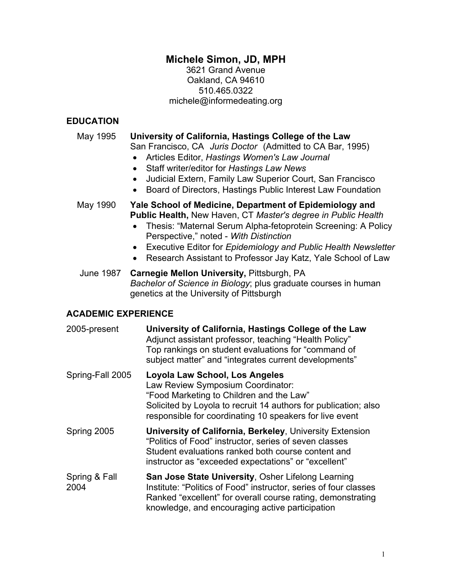# **Michele Simon, JD, MPH**

3621 Grand Avenue Oakland, CA 94610 510.465.0322 michele@informedeating.org

### **EDUCATION**

#### May 1995 **University of California, Hastings College of the Law**

San Francisco, CA *Juris Doctor* (Admitted to CA Bar, 1995)

- Articles Editor, *Hastings Women's Law Journal*
- Staff writer/editor for *Hastings Law News*
- Judicial Extern, Family Law Superior Court, San Francisco
- Board of Directors, Hastings Public Interest Law Foundation

#### May 1990 **Yale School of Medicine, Department of Epidemiology and Public Health,** New Haven, CT *Master's degree in Public Health*

- Thesis: "Maternal Serum Alpha-fetoprotein Screening: A Policy Perspective," noted - *With Distinction*
- Executive Editor for *Epidemiology and Public Health Newsletter*
- Research Assistant to Professor Jay Katz, Yale School of Law

#### June 1987 **Carnegie Mellon University,** Pittsburgh, PA *Bachelor of Science in Biology*; plus graduate courses in human genetics at the University of Pittsburgh

### **ACADEMIC EXPERIENCE**

| 2005-present          | University of California, Hastings College of the Law<br>Adjunct assistant professor, teaching "Health Policy"<br>Top rankings on student evaluations for "command of<br>subject matter" and "integrates current developments"                |
|-----------------------|-----------------------------------------------------------------------------------------------------------------------------------------------------------------------------------------------------------------------------------------------|
| Spring-Fall 2005      | Loyola Law School, Los Angeles<br>Law Review Symposium Coordinator:<br>"Food Marketing to Children and the Law"<br>Solicited by Loyola to recruit 14 authors for publication; also<br>responsible for coordinating 10 speakers for live event |
| Spring 2005           | <b>University of California, Berkeley, University Extension</b><br>"Politics of Food" instructor, series of seven classes<br>Student evaluations ranked both course content and<br>instructor as "exceeded expectations" or "excellent"       |
| Spring & Fall<br>2004 | San Jose State University, Osher Lifelong Learning<br>Institute: "Politics of Food" instructor, series of four classes<br>Ranked "excellent" for overall course rating, demonstrating<br>knowledge, and encouraging active participation      |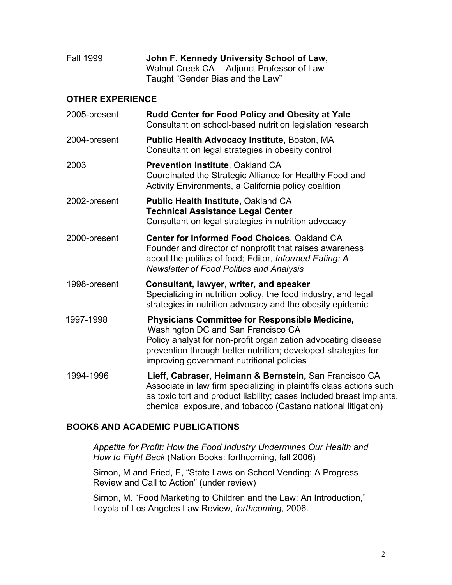| <b>Fall 1999</b> | John F. Kennedy University School of Law, |  |
|------------------|-------------------------------------------|--|
|                  | Walnut Creek CA Adjunct Professor of Law  |  |
|                  | Taught "Gender Bias and the Law"          |  |

### **OTHER EXPERIENCE**

| 2005-present | Rudd Center for Food Policy and Obesity at Yale<br>Consultant on school-based nutrition legislation research                                                                                                                                                               |
|--------------|----------------------------------------------------------------------------------------------------------------------------------------------------------------------------------------------------------------------------------------------------------------------------|
| 2004-present | <b>Public Health Advocacy Institute, Boston, MA</b><br>Consultant on legal strategies in obesity control                                                                                                                                                                   |
| 2003         | <b>Prevention Institute, Oakland CA</b><br>Coordinated the Strategic Alliance for Healthy Food and<br>Activity Environments, a California policy coalition                                                                                                                 |
| 2002-present | Public Health Institute, Oakland CA<br><b>Technical Assistance Legal Center</b><br>Consultant on legal strategies in nutrition advocacy                                                                                                                                    |
| 2000-present | Center for Informed Food Choices, Oakland CA<br>Founder and director of nonprofit that raises awareness<br>about the politics of food; Editor, Informed Eating: A<br><b>Newsletter of Food Politics and Analysis</b>                                                       |
| 1998-present | Consultant, lawyer, writer, and speaker<br>Specializing in nutrition policy, the food industry, and legal<br>strategies in nutrition advocacy and the obesity epidemic                                                                                                     |
| 1997-1998    | <b>Physicians Committee for Responsible Medicine,</b><br>Washington DC and San Francisco CA<br>Policy analyst for non-profit organization advocating disease<br>prevention through better nutrition; developed strategies for<br>improving government nutritional policies |
| 1994-1996    | Lieff, Cabraser, Heimann & Bernstein, San Francisco CA<br>Associate in law firm specializing in plaintiffs class actions such<br>as toxic tort and product liability; cases included breast implants,<br>chemical exposure, and tobacco (Castano national litigation)      |

#### **BOOKS AND ACADEMIC PUBLICATIONS**

*Appetite for Profit: How the Food Industry Undermines Our Health and How to Fight Back* (Nation Books: forthcoming, fall 2006)

Simon, M and Fried, E, "State Laws on School Vending: A Progress Review and Call to Action" (under review)

Simon, M. "Food Marketing to Children and the Law: An Introduction," Loyola of Los Angeles Law Review, *forthcoming*, 2006.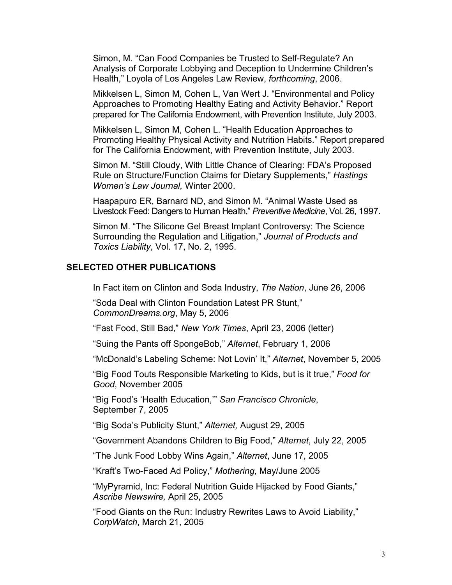Simon, M. "Can Food Companies be Trusted to Self-Regulate? An Analysis of Corporate Lobbying and Deception to Undermine Children's Health," Loyola of Los Angeles Law Review, *forthcoming*, 2006.

Mikkelsen L, Simon M, Cohen L, Van Wert J. "Environmental and Policy Approaches to Promoting Healthy Eating and Activity Behavior." Report prepared for The California Endowment, with Prevention Institute, July 2003.

Mikkelsen L, Simon M, Cohen L. "Health Education Approaches to Promoting Healthy Physical Activity and Nutrition Habits." Report prepared for The California Endowment, with Prevention Institute, July 2003.

Simon M. "Still Cloudy, With Little Chance of Clearing: FDA's Proposed Rule on Structure/Function Claims for Dietary Supplements," *Hastings Women's Law Journal,* Winter 2000.

Haapapuro ER, Barnard ND, and Simon M. "Animal Waste Used as Livestock Feed: Dangers to Human Health," *Preventive Medicine*, Vol. 26, 1997.

Simon M. "The Silicone Gel Breast Implant Controversy: The Science Surrounding the Regulation and Litigation," *Journal of Products and Toxics Liability*, Vol. 17, No. 2, 1995.

#### **SELECTED OTHER PUBLICATIONS**

In Fact item on Clinton and Soda Industry, *The Nation*, June 26, 2006

"Soda Deal with Clinton Foundation Latest PR Stunt," *CommonDreams.org*, May 5, 2006

"Fast Food, Still Bad," *New York Times*, April 23, 2006 (letter)

"Suing the Pants off SpongeBob," *Alternet*, February 1, 2006

"McDonald's Labeling Scheme: Not Lovin' It," *Alternet*, November 5, 2005

"Big Food Touts Responsible Marketing to Kids, but is it true," *Food for Good*, November 2005

"Big Food's 'Health Education,'" *San Francisco Chronicle*, September 7, 2005

"Big Soda's Publicity Stunt," *Alternet,* August 29, 2005

"Government Abandons Children to Big Food," *Alternet*, July 22, 2005

"The Junk Food Lobby Wins Again," *Alternet*, June 17, 2005

"Kraft's Two-Faced Ad Policy," *Mothering*, May/June 2005

"MyPyramid, Inc: Federal Nutrition Guide Hijacked by Food Giants," *Ascribe Newswire,* April 25, 2005

"Food Giants on the Run: Industry Rewrites Laws to Avoid Liability," *CorpWatch*, March 21, 2005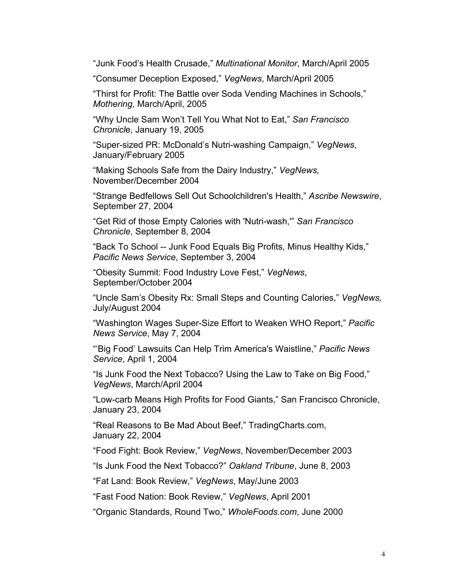"Junk Food's Health Crusade," *Multinational Monitor*, March/April 2005

"Consumer Deception Exposed," *VegNews*, March/April 2005

"Thirst for Profit: The Battle over Soda Vending Machines in Schools," *Mothering*, March/April, 2005

"Why Uncle Sam Won't Tell You What Not to Eat," *San Francisco Chronicl*e, January 19, 2005

"Super-sized PR: McDonald's Nutri-washing Campaign," *VegNews*, January/February 2005

"Making Schools Safe from the Dairy Industry," *VegNews,*  November/December 2004

"Strange Bedfellows Sell Out Schoolchildren's Health," *Ascribe Newswire*, September 27, 2004

"Get Rid of those Empty Calories with 'Nutri-wash,'" *San Francisco Chronicle*, September 8, 2004

"Back To School -- Junk Food Equals Big Profits, Minus Healthy Kids," *Pacific News Service*, September 3, 2004

"Obesity Summit: Food Industry Love Fest," *VegNews*, September/October 2004

"Uncle Sam's Obesity Rx: Small Steps and Counting Calories," *VegNews,*  July/August 2004

"Washington Wages Super-Size Effort to Weaken WHO Report," *Pacific News Service*, May 7, 2004

"'Big Food' Lawsuits Can Help Trim America's Waistline," *Pacific News Service*, April 1, 2004

"Is Junk Food the Next Tobacco? Using the Law to Take on Big Food," *VegNews*, March/April 2004

"Low-carb Means High Profits for Food Giants," San Francisco Chronicle, January 23, 2004

"Real Reasons to Be Mad About Beef," TradingCharts.com, January 22, 2004

"Food Fight: Book Review," *VegNews*, November/December 2003

"Is Junk Food the Next Tobacco?" *Oakland Tribune*, June 8, 2003

"Fat Land: Book Review," *VegNews*, May/June 2003

"Fast Food Nation: Book Review," *VegNews*, April 2001

"Organic Standards, Round Two," *WholeFoods.com*, June 2000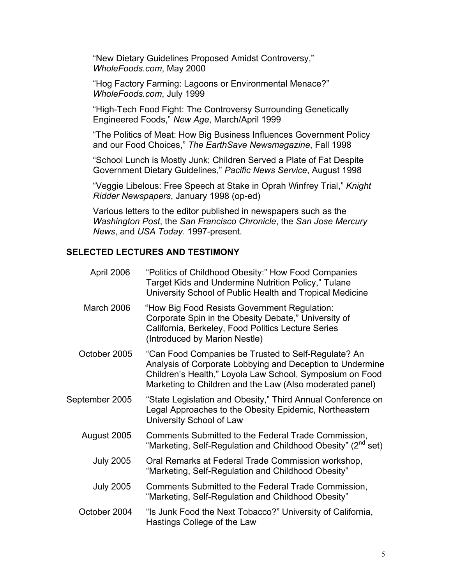"New Dietary Guidelines Proposed Amidst Controversy," *WholeFoods.com*, May 2000

"Hog Factory Farming: Lagoons or Environmental Menace?" *WholeFoods.com*, July 1999

"High-Tech Food Fight: The Controversy Surrounding Genetically Engineered Foods," *New Age*, March/April 1999

"The Politics of Meat: How Big Business Influences Government Policy and our Food Choices," *The EarthSave Newsmagazine*, Fall 1998

"School Lunch is Mostly Junk; Children Served a Plate of Fat Despite Government Dietary Guidelines," *Pacific News Service*, August 1998

"Veggie Libelous: Free Speech at Stake in Oprah Winfrey Trial," *Knight Ridder Newspapers*, January 1998 (op-ed)

 Various letters to the editor published in newspapers such as the *Washington Post*, the *San Francisco Chronicle*, the *San Jose Mercury News*, and *USA Today*. 1997-present.

#### **SELECTED LECTURES AND TESTIMONY**

| April 2006       | "Politics of Childhood Obesity:" How Food Companies<br>Target Kids and Undermine Nutrition Policy," Tulane<br>University School of Public Health and Tropical Medicine                                                                   |
|------------------|------------------------------------------------------------------------------------------------------------------------------------------------------------------------------------------------------------------------------------------|
| March 2006       | "How Big Food Resists Government Regulation:<br>Corporate Spin in the Obesity Debate," University of<br>California, Berkeley, Food Politics Lecture Series<br>(Introduced by Marion Nestle)                                              |
| October 2005     | "Can Food Companies be Trusted to Self-Regulate? An<br>Analysis of Corporate Lobbying and Deception to Undermine<br>Children's Health," Loyola Law School, Symposium on Food<br>Marketing to Children and the Law (Also moderated panel) |
| September 2005   | "State Legislation and Obesity," Third Annual Conference on<br>Legal Approaches to the Obesity Epidemic, Northeastern<br>University School of Law                                                                                        |
| August 2005      | Comments Submitted to the Federal Trade Commission,<br>"Marketing, Self-Regulation and Childhood Obesity" (2 <sup>nd</sup> set)                                                                                                          |
| <b>July 2005</b> | Oral Remarks at Federal Trade Commission workshop,<br>"Marketing, Self-Regulation and Childhood Obesity"                                                                                                                                 |
| <b>July 2005</b> | Comments Submitted to the Federal Trade Commission,<br>"Marketing, Self-Regulation and Childhood Obesity"                                                                                                                                |
| October 2004     | "Is Junk Food the Next Tobacco?" University of California,<br>Hastings College of the Law                                                                                                                                                |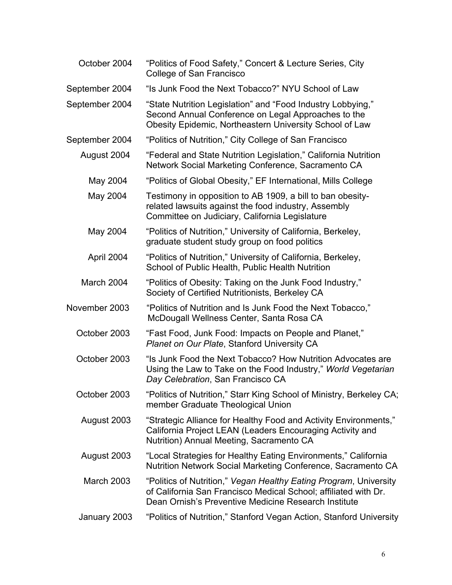| October 2004      | "Politics of Food Safety," Concert & Lecture Series, City<br>College of San Francisco                                                                                                        |
|-------------------|----------------------------------------------------------------------------------------------------------------------------------------------------------------------------------------------|
| September 2004    | "Is Junk Food the Next Tobacco?" NYU School of Law                                                                                                                                           |
| September 2004    | "State Nutrition Legislation" and "Food Industry Lobbying,"<br>Second Annual Conference on Legal Approaches to the<br>Obesity Epidemic, Northeastern University School of Law                |
| September 2004    | "Politics of Nutrition," City College of San Francisco                                                                                                                                       |
| August 2004       | "Federal and State Nutrition Legislation," California Nutrition<br>Network Social Marketing Conference, Sacramento CA                                                                        |
| May 2004          | "Politics of Global Obesity," EF International, Mills College                                                                                                                                |
| May 2004          | Testimony in opposition to AB 1909, a bill to ban obesity-<br>related lawsuits against the food industry, Assembly<br>Committee on Judiciary, California Legislature                         |
| May 2004          | "Politics of Nutrition," University of California, Berkeley,<br>graduate student study group on food politics                                                                                |
| April 2004        | "Politics of Nutrition," University of California, Berkeley,<br>School of Public Health, Public Health Nutrition                                                                             |
| March 2004        | "Politics of Obesity: Taking on the Junk Food Industry,"<br>Society of Certified Nutritionists, Berkeley CA                                                                                  |
| November 2003     | "Politics of Nutrition and Is Junk Food the Next Tobacco,"<br>McDougall Wellness Center, Santa Rosa CA                                                                                       |
| October 2003      | "Fast Food, Junk Food: Impacts on People and Planet,"<br>Planet on Our Plate, Stanford University CA                                                                                         |
| October 2003      | "Is Junk Food the Next Tobacco? How Nutrition Advocates are<br>Using the Law to Take on the Food Industry," World Vegetarian<br>Day Celebration, San Francisco CA                            |
| October 2003      | "Politics of Nutrition," Starr King School of Ministry, Berkeley CA;<br>member Graduate Theological Union                                                                                    |
| August 2003       | "Strategic Alliance for Healthy Food and Activity Environments,"<br>California Project LEAN (Leaders Encouraging Activity and<br>Nutrition) Annual Meeting, Sacramento CA                    |
| August 2003       | "Local Strategies for Healthy Eating Environments," California<br>Nutrition Network Social Marketing Conference, Sacramento CA                                                               |
| <b>March 2003</b> | "Politics of Nutrition," Vegan Healthy Eating Program, University<br>of California San Francisco Medical School; affiliated with Dr.<br>Dean Ornish's Preventive Medicine Research Institute |
| January 2003      | "Politics of Nutrition," Stanford Vegan Action, Stanford University                                                                                                                          |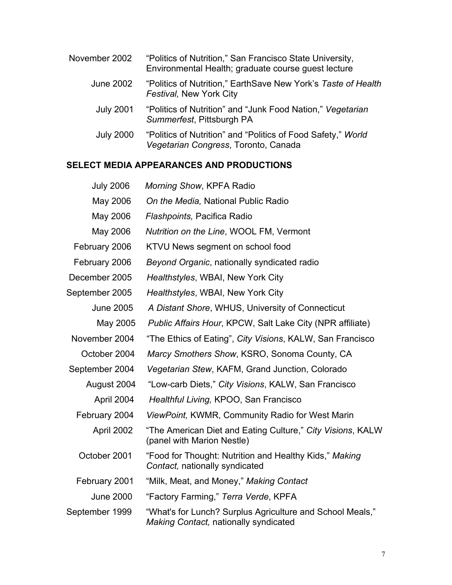| November 2002    | "Politics of Nutrition," San Francisco State University,<br>Environmental Health; graduate course quest lecture |
|------------------|-----------------------------------------------------------------------------------------------------------------|
| June 2002        | "Politics of Nutrition," EarthSave New York's Taste of Health<br>Festival, New York City                        |
| <b>July 2001</b> | "Politics of Nutrition" and "Junk Food Nation," Vegetarian<br>Summerfest, Pittsburgh PA                         |
| <b>July 2000</b> | "Politics of Nutrition" and "Politics of Food Safety," World<br>Vegetarian Congress, Toronto, Canada            |

## **SELECT MEDIA APPEARANCES AND PRODUCTIONS**

| <b>July 2006</b> | Morning Show, KPFA Radio                                                                                  |
|------------------|-----------------------------------------------------------------------------------------------------------|
| May 2006         | On the Media, National Public Radio                                                                       |
| May 2006         | Flashpoints, Pacifica Radio                                                                               |
| May 2006         | Nutrition on the Line, WOOL FM, Vermont                                                                   |
| February 2006    | KTVU News segment on school food                                                                          |
| February 2006    | Beyond Organic, nationally syndicated radio                                                               |
| December 2005    | Healthstyles, WBAI, New York City                                                                         |
| September 2005   | Healthstyles, WBAI, New York City                                                                         |
| <b>June 2005</b> | A Distant Shore, WHUS, University of Connecticut                                                          |
| May 2005         | Public Affairs Hour, KPCW, Salt Lake City (NPR affiliate)                                                 |
| November 2004    | "The Ethics of Eating", City Visions, KALW, San Francisco                                                 |
| October 2004     | Marcy Smothers Show, KSRO, Sonoma County, CA                                                              |
| September 2004   | Vegetarian Stew, KAFM, Grand Junction, Colorado                                                           |
| August 2004      | "Low-carb Diets," City Visions, KALW, San Francisco                                                       |
| April 2004       | Healthful Living, KPOO, San Francisco                                                                     |
| February 2004    | ViewPoint, KWMR, Community Radio for West Marin                                                           |
| April 2002       | "The American Diet and Eating Culture," City Visions, KALW<br>(panel with Marion Nestle)                  |
| October 2001     | "Food for Thought: Nutrition and Healthy Kids," Making<br>Contact, nationally syndicated                  |
| February 2001    | "Milk, Meat, and Money," Making Contact                                                                   |
| <b>June 2000</b> | "Factory Farming," Terra Verde, KPFA                                                                      |
| September 1999   | "What's for Lunch? Surplus Agriculture and School Meals,"<br><b>Making Contact, nationally syndicated</b> |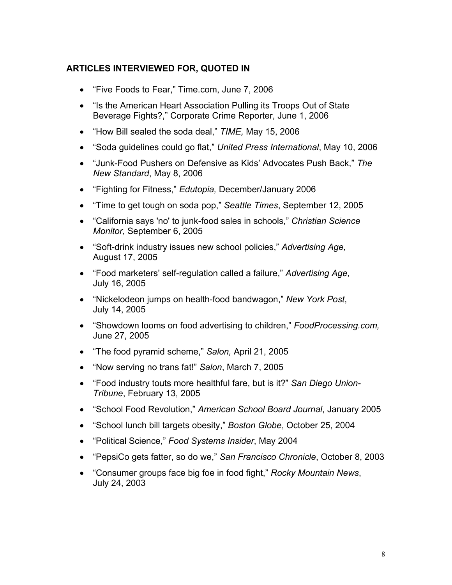## **ARTICLES INTERVIEWED FOR, QUOTED IN**

- "Five Foods to Fear," Time.com, June 7, 2006
- "Is the American Heart Association Pulling its Troops Out of State Beverage Fights?," Corporate Crime Reporter, June 1, 2006
- "How Bill sealed the soda deal," *TIME,* May 15, 2006
- "Soda guidelines could go flat," *United Press International*, May 10, 2006
- "Junk-Food Pushers on Defensive as Kids' Advocates Push Back," *The New Standard*, May 8, 2006
- "Fighting for Fitness," *Edutopia,* December/January 2006
- "Time to get tough on soda pop," *Seattle Times*, September 12, 2005
- "California says 'no' to junk-food sales in schools," *Christian Science Monitor*, September 6, 2005
- "Soft-drink industry issues new school policies," *Advertising Age,*  August 17, 2005
- "Food marketers' self-regulation called a failure," *Advertising Age*, July 16, 2005
- "Nickelodeon jumps on health-food bandwagon," *New York Post*, July 14, 2005
- "Showdown looms on food advertising to children," *FoodProcessing.com,*  June 27, 2005
- "The food pyramid scheme," *Salon,* April 21, 2005
- "Now serving no trans fat!" *Salon*, March 7, 2005
- "Food industry touts more healthful fare, but is it?" *San Diego Union-Tribune*, February 13, 2005
- "School Food Revolution," *American School Board Journal*, January 2005
- "School lunch bill targets obesity," *Boston Globe*, October 25, 2004
- "Political Science," *Food Systems Insider*, May 2004
- "PepsiCo gets fatter, so do we," *San Francisco Chronicle*, October 8, 2003
- "Consumer groups face big foe in food fight," *Rocky Mountain News*, July 24, 2003